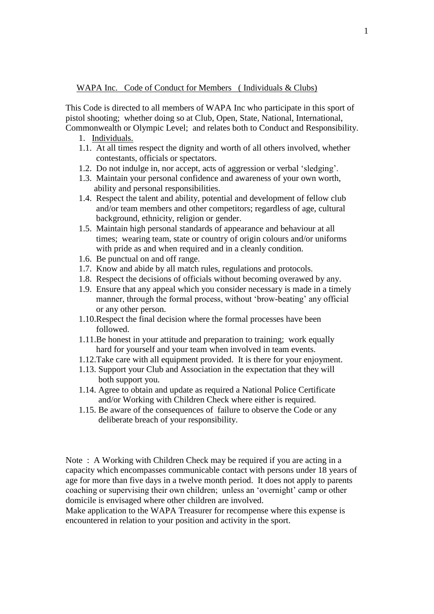## WAPA Inc. Code of Conduct for Members (Individuals & Clubs)

This Code is directed to all members of WAPA Inc who participate in this sport of pistol shooting; whether doing so at Club, Open, State, National, International, Commonwealth or Olympic Level; and relates both to Conduct and Responsibility.

- 1. Individuals.
- 1.1. At all times respect the dignity and worth of all others involved, whether contestants, officials or spectators.
- 1.2. Do not indulge in, nor accept, acts of aggression or verbal 'sledging'.
- 1.3. Maintain your personal confidence and awareness of your own worth, ability and personal responsibilities.
- 1.4. Respect the talent and ability, potential and development of fellow club and/or team members and other competitors; regardless of age, cultural background, ethnicity, religion or gender.
- 1.5. Maintain high personal standards of appearance and behaviour at all times; wearing team, state or country of origin colours and/or uniforms with pride as and when required and in a cleanly condition.
- 1.6. Be punctual on and off range.
- 1.7. Know and abide by all match rules, regulations and protocols.
- 1.8. Respect the decisions of officials without becoming overawed by any.
- 1.9. Ensure that any appeal which you consider necessary is made in a timely manner, through the formal process, without 'brow-beating' any official or any other person.
- 1.10.Respect the final decision where the formal processes have been followed.
- 1.11.Be honest in your attitude and preparation to training; work equally hard for yourself and your team when involved in team events.
- 1.12.Take care with all equipment provided. It is there for your enjoyment.
- 1.13. Support your Club and Association in the expectation that they will both support you.
- 1.14. Agree to obtain and update as required a National Police Certificate and/or Working with Children Check where either is required.
- 1.15. Be aware of the consequences of failure to observe the Code or any deliberate breach of your responsibility.

Note: A Working with Children Check may be required if you are acting in a capacity which encompasses communicable contact with persons under 18 years of age for more than five days in a twelve month period. It does not apply to parents coaching or supervising their own children; unless an 'overnight' camp or other domicile is envisaged where other children are involved.

Make application to the WAPA Treasurer for recompense where this expense is encountered in relation to your position and activity in the sport.